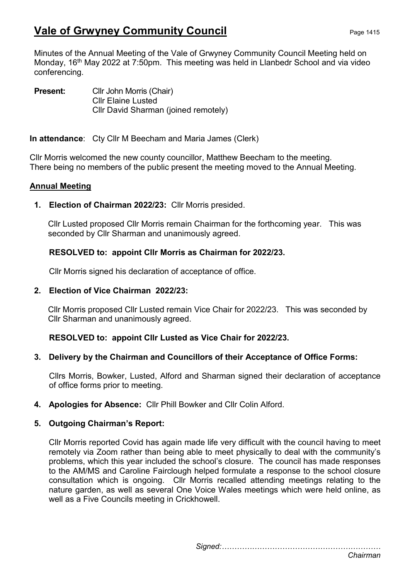# Vale of Grwyney Community Council Page 1415

Minutes of the Annual Meeting of the Vale of Grwyney Community Council Meeting held on Monday, 16<sup>th</sup> May 2022 at 7:50pm. This meeting was held in Llanbedr School and via video conferencing.

Present: Cllr John Morris (Chair) Cllr Elaine Lusted Cllr David Sharman (joined remotely)

In attendance: Cty Cllr M Beecham and Maria James (Clerk)

Cllr Morris welcomed the new county councillor, Matthew Beecham to the meeting. There being no members of the public present the meeting moved to the Annual Meeting.

### Annual Meeting

1. Election of Chairman 2022/23: Cllr Morris presided.

Cllr Lusted proposed Cllr Morris remain Chairman for the forthcoming year. This was seconded by Cllr Sharman and unanimously agreed.

### RESOLVED to: appoint Cllr Morris as Chairman for 2022/23.

Cllr Morris signed his declaration of acceptance of office.

#### 2. Election of Vice Chairman 2022/23:

Cllr Morris proposed Cllr Lusted remain Vice Chair for 2022/23. This was seconded by Cllr Sharman and unanimously agreed.

RESOLVED to: appoint Cllr Lusted as Vice Chair for 2022/23.

### 3. Delivery by the Chairman and Councillors of their Acceptance of Office Forms:

Cllrs Morris, Bowker, Lusted, Alford and Sharman signed their declaration of acceptance of office forms prior to meeting.

4. Apologies for Absence: Cllr Phill Bowker and Cllr Colin Alford.

### 5. Outgoing Chairman's Report:

Cllr Morris reported Covid has again made life very difficult with the council having to meet remotely via Zoom rather than being able to meet physically to deal with the community's problems, which this year included the school's closure. The council has made responses to the AM/MS and Caroline Fairclough helped formulate a response to the school closure consultation which is ongoing. Cllr Morris recalled attending meetings relating to the nature garden, as well as several One Voice Wales meetings which were held online, as well as a Five Councils meeting in Crickhowell.

Signed:………………………………………………………

Chairman